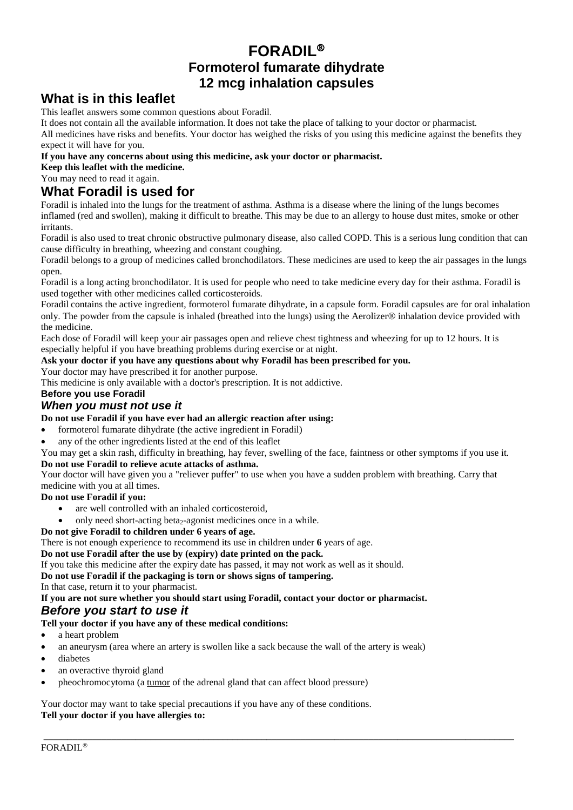# **FORADIL Formoterol fumarate dihydrate 12 mcg inhalation capsules**

# **What is in this leaflet**

This leaflet answers some common questions about Foradil.

It does not contain all the available information. It does not take the place of talking to your doctor or pharmacist.

All medicines have risks and benefits. Your doctor has weighed the risks of you using this medicine against the benefits they expect it will have for you.

#### **If you have any concerns about using this medicine, ask your doctor or pharmacist.**

**Keep this leaflet with the medicine.**

You may need to read it again.

# **What Foradil is used for**

Foradil is inhaled into the lungs for the treatment of asthma. Asthma is a disease where the lining of the lungs becomes inflamed (red and swollen), making it difficult to breathe. This may be due to an allergy to house dust mites, smoke or other irritants.

Foradil is also used to treat chronic obstructive pulmonary disease, also called COPD. This is a serious lung condition that can cause difficulty in breathing, wheezing and constant coughing.

Foradil belongs to a group of medicines called bronchodilators. These medicines are used to keep the air passages in the lungs open.

Foradil is a long acting bronchodilator. It is used for people who need to take medicine every day for their asthma. Foradil is used together with other medicines called corticosteroids.

Foradil contains the active ingredient, formoterol fumarate dihydrate, in a capsule form. Foradil capsules are for oral inhalation only. The powder from the capsule is inhaled (breathed into the lungs) using the Aerolizer $\circledR$  inhalation device provided with the medicine.

Each dose of Foradil will keep your air passages open and relieve chest tightness and wheezing for up to 12 hours. It is especially helpful if you have breathing problems during exercise or at night.

#### **Ask your doctor if you have any questions about why Foradil has been prescribed for you.**

Your doctor may have prescribed it for another purpose.

This medicine is only available with a doctor's prescription. It is not addictive.

#### **Before you use Foradil**

### *When you must not use it*

#### **Do not use Foradil if you have ever had an allergic reaction after using:**

- formoterol fumarate dihydrate (the active ingredient in Foradil)
- any of the other ingredients listed at the end of this leaflet
- You may get a skin rash, difficulty in breathing, hay fever, swelling of the face, faintness or other symptoms if you use it.

\_\_\_\_\_\_\_\_\_\_\_\_\_\_\_\_\_\_\_\_\_\_\_\_\_\_\_\_\_\_\_\_\_\_\_\_\_\_\_\_\_\_\_\_\_\_\_\_\_\_\_\_\_\_\_\_\_\_\_\_\_\_\_\_\_\_\_\_\_\_\_\_\_\_\_\_\_\_\_\_\_\_\_\_\_\_\_\_\_\_\_\_\_\_\_\_\_

#### **Do not use Foradil to relieve acute attacks of asthma.**

Your doctor will have given you a "reliever puffer" to use when you have a sudden problem with breathing. Carry that medicine with you at all times.

#### **Do not use Foradil if you:**

- are well controlled with an inhaled corticosteroid,
- only need short-acting beta<sub>2</sub>-agonist medicines once in a while.

#### **Do not give Foradil to children under 6 years of age.**

There is not enough experience to recommend its use in children under **6** years of age.

#### **Do not use Foradil after the use by (expiry) date printed on the pack.**

If you take this medicine after the expiry date has passed, it may not work as well as it should.

**Do not use Foradil if the packaging is torn or shows signs of tampering.**

In that case, return it to your pharmacist.

#### **If you are not sure whether you should start using Foradil, contact your doctor or pharmacist.**

#### *Before you start to use it*

#### **Tell your doctor if you have any of these medical conditions:**

- a heart problem
- an aneurysm (area where an artery is swollen like a sack because the wall of the artery is weak)
- diabetes
- an overactive thyroid gland
- pheochromocytoma ([a tumor](http://www.medicinenet.com/script/main/art.asp?articlekey=118966) of the adrenal gland that can affect blood pressure)

Your doctor may want to take special precautions if you have any of these conditions. **Tell your doctor if you have allergies to:**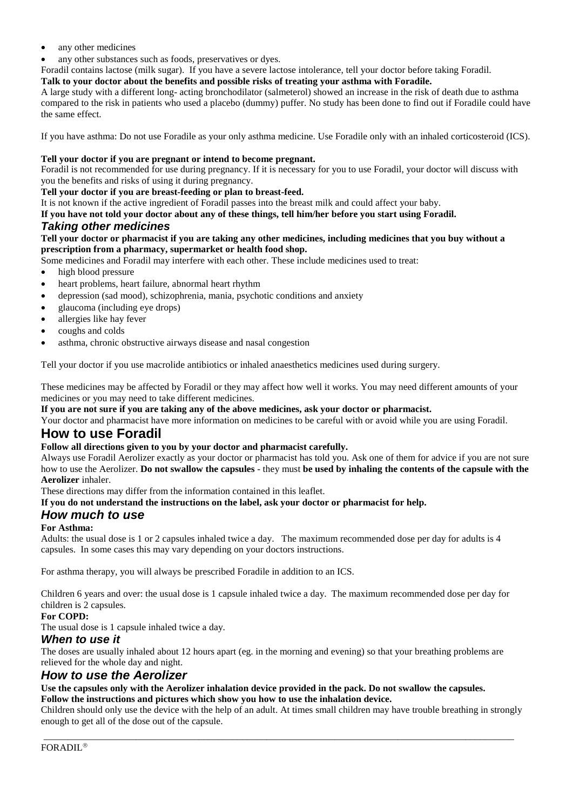- any other medicines
- any other substances such as foods, preservatives or dyes.
- Foradil contains lactose (milk sugar). If you have a severe lactose intolerance, tell your doctor before taking Foradil.

#### **Talk to your doctor about the benefits and possible risks of treating your asthma with Foradile.**

A large study with a different long- acting bronchodilator (salmeterol) showed an increase in the risk of death due to asthma compared to the risk in patients who used a placebo (dummy) puffer. No study has been done to find out if Foradile could have the same effect.

If you have asthma: Do not use Foradile as your only asthma medicine. Use Foradile only with an inhaled corticosteroid (ICS).

#### **Tell your doctor if you are pregnant or intend to become pregnant.**

Foradil is not recommended for use during pregnancy. If it is necessary for you to use Foradil, your doctor will discuss with you the benefits and risks of using it during pregnancy.

#### **Tell your doctor if you are breast-feeding or plan to breast-feed.**

It is not known if the active ingredient of Foradil passes into the breast milk and could affect your baby.

**If you have not told your doctor about any of these things, tell him/her before you start using Foradil.** 

#### *Taking other medicines*

#### **Tell your doctor or pharmacist if you are taking any other medicines, including medicines that you buy without a prescription from a pharmacy, supermarket or health food shop.**

Some medicines and Foradil may interfere with each other. These include medicines used to treat:

- high blood pressure
- heart problems, heart failure, abnormal heart rhythm
- depression (sad mood), schizophrenia, mania, psychotic conditions and anxiety
- glaucoma (including eye drops)
- allergies like hay fever
- coughs and colds
- asthma, chronic obstructive airways disease and nasal congestion

Tell your doctor if you use macrolide antibiotics or inhaled anaesthetics medicines used during surgery.

These medicines may be affected by Foradil or they may affect how well it works. You may need different amounts of your medicines or you may need to take different medicines.

**If you are not sure if you are taking any of the above medicines, ask your doctor or pharmacist.**

Your doctor and pharmacist have more information on medicines to be careful with or avoid while you are using Foradil.

# **How to use Foradil**

### **Follow all directions given to you by your doctor and pharmacist carefully.**

Always use Foradil Aerolizer exactly as your doctor or pharmacist has told you. Ask one of them for advice if you are not sure how to use the Aerolizer. **Do not swallow the capsules** - they must **be used by inhaling the contents of the capsule with the Aerolizer** inhaler.

These directions may differ from the information contained in this leaflet.

#### **If you do not understand the instructions on the label, ask your doctor or pharmacist for help.**

### *How much to use*

#### **For Asthma:**

Adults: the usual dose is 1 or 2 capsules inhaled twice a day. The maximum recommended dose per day for adults is 4 capsules. In some cases this may vary depending on your doctors instructions.

For asthma therapy, you will always be prescribed Foradile in addition to an ICS.

Children 6 years and over: the usual dose is 1 capsule inhaled twice a day. The maximum recommended dose per day for children is 2 capsules.

#### **For COPD:**

The usual dose is 1 capsule inhaled twice a day.

#### *When to use it*

The doses are usually inhaled about 12 hours apart (eg. in the morning and evening) so that your breathing problems are relieved for the whole day and night.

### *How to use the Aerolizer*

#### **Use the capsules only with the Aerolizer inhalation device provided in the pack. Do not swallow the capsules. Follow the instructions and pictures which show you how to use the inhalation device.**

Children should only use the device with the help of an adult. At times small children may have trouble breathing in strongly enough to get all of the dose out of the capsule.

\_\_\_\_\_\_\_\_\_\_\_\_\_\_\_\_\_\_\_\_\_\_\_\_\_\_\_\_\_\_\_\_\_\_\_\_\_\_\_\_\_\_\_\_\_\_\_\_\_\_\_\_\_\_\_\_\_\_\_\_\_\_\_\_\_\_\_\_\_\_\_\_\_\_\_\_\_\_\_\_\_\_\_\_\_\_\_\_\_\_\_\_\_\_\_\_\_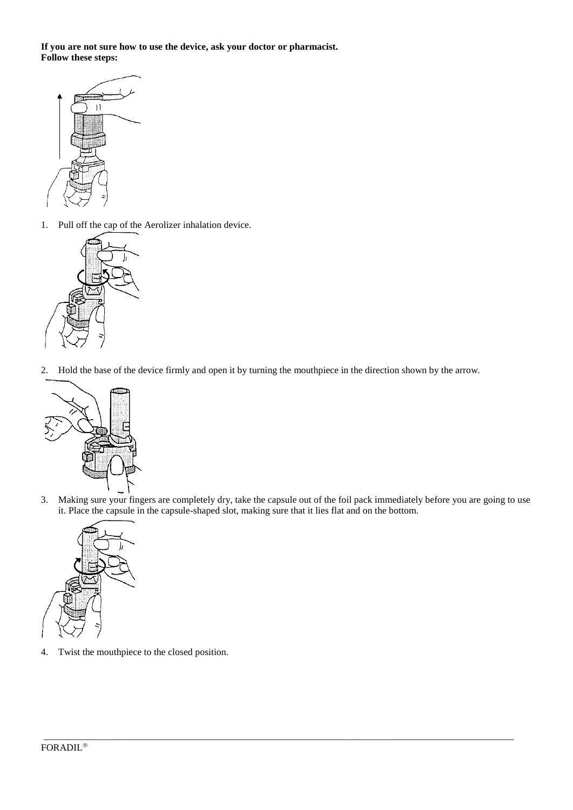**If you are not sure how to use the device, ask your doctor or pharmacist. Follow these steps:**



1. Pull off the cap of the Aerolizer inhalation device.



2. Hold the base of the device firmly and open it by turning the mouthpiece in the direction shown by the arrow.



3. Making sure your fingers are completely dry, take the capsule out of the foil pack immediately before you are going to use it. Place the capsule in the capsule-shaped slot, making sure that it lies flat and on the bottom.

\_\_\_\_\_\_\_\_\_\_\_\_\_\_\_\_\_\_\_\_\_\_\_\_\_\_\_\_\_\_\_\_\_\_\_\_\_\_\_\_\_\_\_\_\_\_\_\_\_\_\_\_\_\_\_\_\_\_\_\_\_\_\_\_\_\_\_\_\_\_\_\_\_\_\_\_\_\_\_\_\_\_\_\_\_\_\_\_\_\_\_\_\_\_\_\_\_



4. Twist the mouthpiece to the closed position.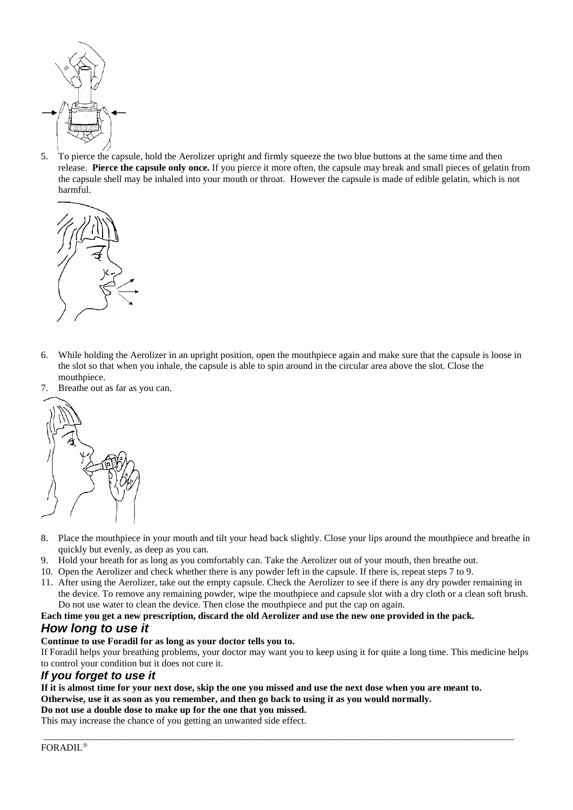

5. To pierce the capsule, hold the Aerolizer upright and firmly squeeze the two blue buttons at the same time and then release. **Pierce the capsule only once.** If you pierce it more often, the capsule may break and small pieces of gelatin from the capsule shell may be inhaled into your mouth or throat. However the capsule is made of edible gelatin, which is not harmful.



- 6. While holding the Aerolizer in an upright position, open the mouthpiece again and make sure that the capsule is loose in the slot so that when you inhale, the capsule is able to spin around in the circular area above the slot. Close the mouthpiece.
- 7. Breathe out as far as you can.



- 8. Place the mouthpiece in your mouth and tilt your head back slightly. Close your lips around the mouthpiece and breathe in quickly but evenly, as deep as you can.
- 9. Hold your breath for as long as you comfortably can. Take the Aerolizer out of your mouth, then breathe out.
- 10. Open the Aerolizer and check whether there is any powder left in the capsule. If there is, repeat steps 7 to 9.
- 11. After using the Aerolizer, take out the empty capsule. Check the Aerolizer to see if there is any dry powder remaining in the device. To remove any remaining powder, wipe the mouthpiece and capsule slot with a dry cloth or a clean soft brush. Do not use water to clean the device. Then close the mouthpiece and put the cap on again.

#### **Each time you get a new prescription, discard the old Aerolizer and use the new one provided in the pack.**

# *How long to use it*

#### **Continue to use Foradil for as long as your doctor tells you to.**

If Foradil helps your breathing problems, your doctor may want you to keep using it for quite a long time. This medicine helps to control your condition but it does not cure it.

\_\_\_\_\_\_\_\_\_\_\_\_\_\_\_\_\_\_\_\_\_\_\_\_\_\_\_\_\_\_\_\_\_\_\_\_\_\_\_\_\_\_\_\_\_\_\_\_\_\_\_\_\_\_\_\_\_\_\_\_\_\_\_\_\_\_\_\_\_\_\_\_\_\_\_\_\_\_\_\_\_\_\_\_\_\_\_\_\_\_\_\_\_\_\_\_\_

#### *If you forget to use it*

# **If it is almost time for your next dose, skip the one you missed and use the next dose when you are meant to.**

**Otherwise, use it as soon as you remember, and then go back to using it as you would normally.**

# **Do not use a double dose to make up for the one that you missed.**

This may increase the chance of you getting an unwanted side effect.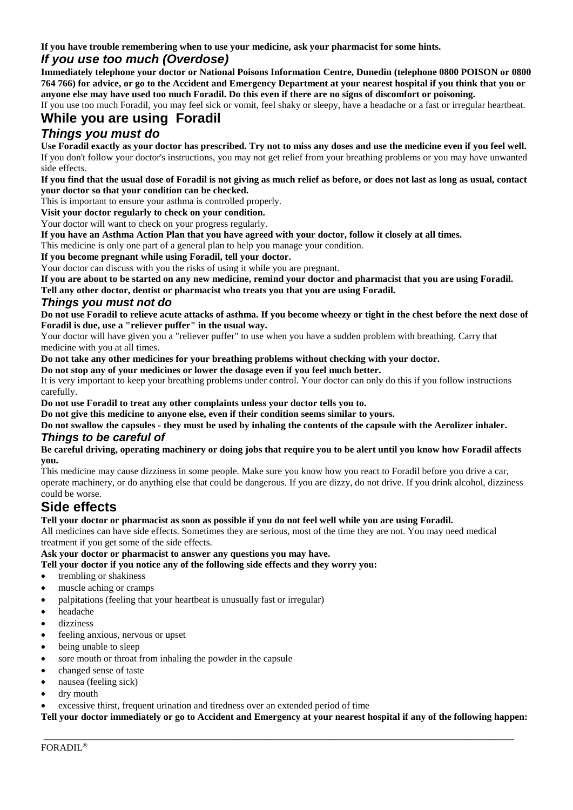**If you have trouble remembering when to use your medicine, ask your pharmacist for some hints.**

# *If you use too much (Overdose)*

**Immediately telephone your doctor or National Poisons Information Centre, Dunedin (telephone 0800 POISON or 0800 764 766) for advice, or go to the Accident and Emergency Department at your nearest hospital if you think that you or anyone else may have used too much Foradil. Do this even if there are no signs of discomfort or poisoning.**

If you use too much Foradil, you may feel sick or vomit, feel shaky or sleepy, have a headache or a fast or irregular heartbeat.

# **While you are using Foradil**

# *Things you must do*

**Use Foradil exactly as your doctor has prescribed. Try not to miss any doses and use the medicine even if you feel well.** If you don't follow your doctor's instructions, you may not get relief from your breathing problems or you may have unwanted side effects.

**If you find that the usual dose of Foradil is not giving as much relief as before, or does not last as long as usual, contact your doctor so that your condition can be checked.** 

This is important to ensure your asthma is controlled properly.

**Visit your doctor regularly to check on your condition.**

Your doctor will want to check on your progress regularly.

**If you have an Asthma Action Plan that you have agreed with your doctor, follow it closely at all times.**

This medicine is only one part of a general plan to help you manage your condition.

**If you become pregnant while using Foradil, tell your doctor.**

Your doctor can discuss with you the risks of using it while you are pregnant.

**If you are about to be started on any new medicine, remind your doctor and pharmacist that you are using Foradil.**

**Tell any other doctor, dentist or pharmacist who treats you that you are using Foradil.**

#### *Things you must not do*

**Do not use Foradil to relieve acute attacks of asthma. If you become wheezy or tight in the chest before the next dose of Foradil is due, use a "reliever puffer" in the usual way.**

Your doctor will have given you a "reliever puffer" to use when you have a sudden problem with breathing. Carry that medicine with you at all times.

**Do not take any other medicines for your breathing problems without checking with your doctor.** 

**Do not stop any of your medicines or lower the dosage even if you feel much better.**

It is very important to keep your breathing problems under control. Your doctor can only do this if you follow instructions carefully.

**Do not use Foradil to treat any other complaints unless your doctor tells you to.**

**Do not give this medicine to anyone else, even if their condition seems similar to yours.**

**Do not swallow the capsules - they must be used by inhaling the contents of the capsule with the Aerolizer inhaler.**

#### *Things to be careful of*

**Be careful driving, operating machinery or doing jobs that require you to be alert until you know how Foradil affects you.**

This medicine may cause dizziness in some people. Make sure you know how you react to Foradil before you drive a car, operate machinery, or do anything else that could be dangerous. If you are dizzy, do not drive. If you drink alcohol, dizziness could be worse.

# **Side effects**

#### **Tell your doctor or pharmacist as soon as possible if you do not feel well while you are using Foradil.**

All medicines can have side effects. Sometimes they are serious, most of the time they are not. You may need medical treatment if you get some of the side effects.

#### **Ask your doctor or pharmacist to answer any questions you may have.**

#### **Tell your doctor if you notice any of the following side effects and they worry you:**

- trembling or shakiness
- muscle aching or cramps
- palpitations (feeling that your heartbeat is unusually fast or irregular)
- headache
- dizziness
- feeling anxious, nervous or upset
- being unable to sleep
- sore mouth or throat from inhaling the powder in the capsule
- changed sense of taste
- nausea (feeling sick)
- dry mouth
- excessive thirst, frequent urination and tiredness over an extended period of time

**Tell your doctor immediately or go to Accident and Emergency at your nearest hospital if any of the following happen:** 

\_\_\_\_\_\_\_\_\_\_\_\_\_\_\_\_\_\_\_\_\_\_\_\_\_\_\_\_\_\_\_\_\_\_\_\_\_\_\_\_\_\_\_\_\_\_\_\_\_\_\_\_\_\_\_\_\_\_\_\_\_\_\_\_\_\_\_\_\_\_\_\_\_\_\_\_\_\_\_\_\_\_\_\_\_\_\_\_\_\_\_\_\_\_\_\_\_